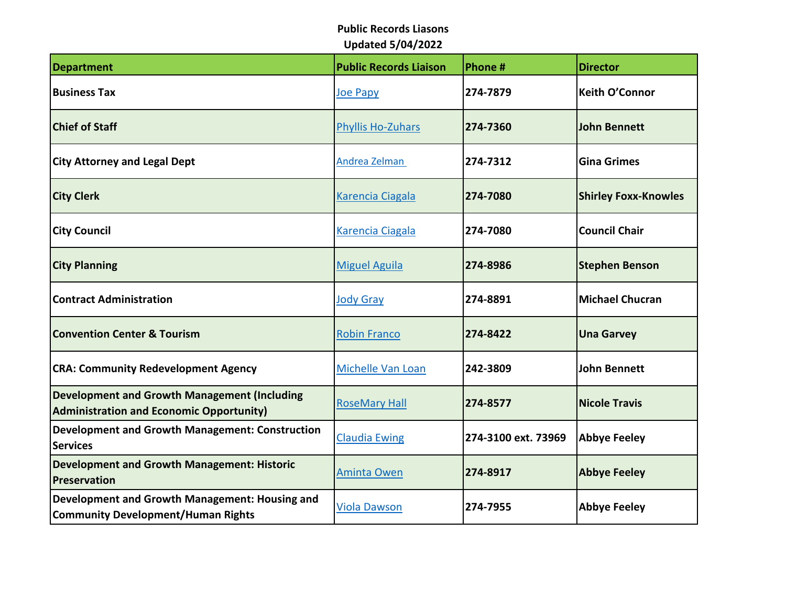| <b>Department</b>                                                                                      | <b>Public Records Liaison</b> | Phone #             | <b>Director</b>             |
|--------------------------------------------------------------------------------------------------------|-------------------------------|---------------------|-----------------------------|
| <b>Business Tax</b>                                                                                    | Joe Papy                      | 274-7879            | <b>Keith O'Connor</b>       |
| <b>Chief of Staff</b>                                                                                  | <b>Phyllis Ho-Zuhars</b>      | 274-7360            | <b>John Bennett</b>         |
| <b>City Attorney and Legal Dept</b>                                                                    | Andrea Zelman                 | 274-7312            | <b>Gina Grimes</b>          |
| <b>City Clerk</b>                                                                                      | Karencia Ciagala              | 274-7080            | <b>Shirley Foxx-Knowles</b> |
| <b>City Council</b>                                                                                    | <b>Karencia Ciagala</b>       | 274-7080            | <b>Council Chair</b>        |
| <b>City Planning</b>                                                                                   | <b>Miguel Aguila</b>          | 274-8986            | <b>Stephen Benson</b>       |
| <b>Contract Administration</b>                                                                         | <b>Jody Gray</b>              | 274-8891            | <b>Michael Chucran</b>      |
| <b>Convention Center &amp; Tourism</b>                                                                 | <b>Robin Franco</b>           | 274-8422            | <b>Una Garvey</b>           |
| <b>CRA: Community Redevelopment Agency</b>                                                             | Michelle Van Loan             | 242-3809            | <b>John Bennett</b>         |
| <b>Development and Growth Management (Including</b><br><b>Administration and Economic Opportunity)</b> | <b>RoseMary Hall</b>          | 274-8577            | <b>Nicole Travis</b>        |
| <b>Development and Growth Management: Construction</b><br><b>Services</b>                              | <b>Claudia Ewing</b>          | 274-3100 ext. 73969 | <b>Abbye Feeley</b>         |
| <b>Development and Growth Management: Historic</b><br>Preservation                                     | <b>Aminta Owen</b>            | 274-8917            | <b>Abbye Feeley</b>         |
| Development and Growth Management: Housing and<br><b>Community Development/Human Rights</b>            | <b>Viola Dawson</b>           | 274-7955            | <b>Abbye Feeley</b>         |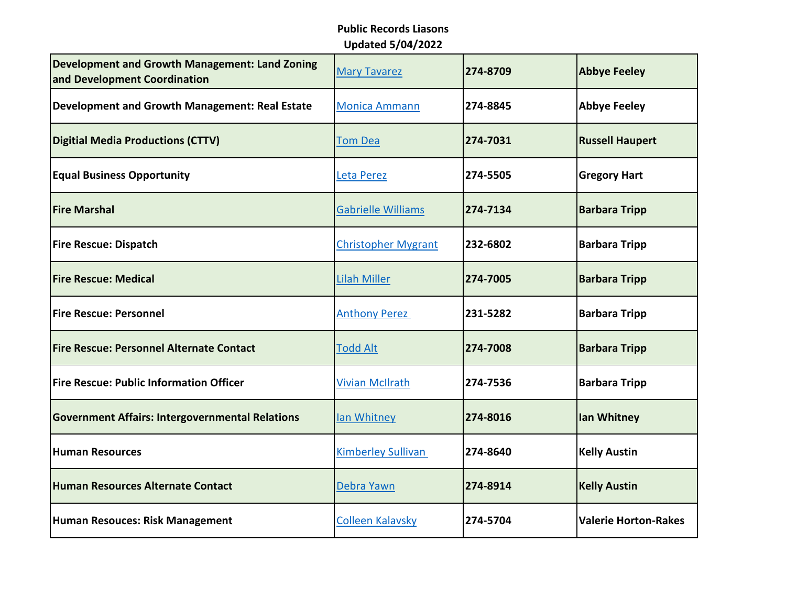| <b>Development and Growth Management: Land Zoning</b><br>and Development Coordination | <b>Mary Tavarez</b>        | 274-8709 | <b>Abbye Feeley</b>         |
|---------------------------------------------------------------------------------------|----------------------------|----------|-----------------------------|
| <b>Development and Growth Management: Real Estate</b>                                 | <b>Monica Ammann</b>       | 274-8845 | <b>Abbye Feeley</b>         |
| <b>Digitial Media Productions (CTTV)</b>                                              | <b>Tom Dea</b>             | 274-7031 | <b>Russell Haupert</b>      |
| <b>Equal Business Opportunity</b>                                                     | Leta Perez                 | 274-5505 | <b>Gregory Hart</b>         |
| <b>Fire Marshal</b>                                                                   | <b>Gabrielle Williams</b>  | 274-7134 | <b>Barbara Tripp</b>        |
| <b>Fire Rescue: Dispatch</b>                                                          | <b>Christopher Mygrant</b> | 232-6802 | <b>Barbara Tripp</b>        |
| <b>Fire Rescue: Medical</b>                                                           | <b>Lilah Miller</b>        | 274-7005 | <b>Barbara Tripp</b>        |
| <b>Fire Rescue: Personnel</b>                                                         | <b>Anthony Perez</b>       | 231-5282 | <b>Barbara Tripp</b>        |
| <b>Fire Rescue: Personnel Alternate Contact</b>                                       | <b>Todd Alt</b>            | 274-7008 | <b>Barbara Tripp</b>        |
| Fire Rescue: Public Information Officer                                               | <b>Vivian McIlrath</b>     | 274-7536 | <b>Barbara Tripp</b>        |
| <b>Government Affairs: Intergovernmental Relations</b>                                | lan Whitney                | 274-8016 | lan Whitney                 |
| <b>Human Resources</b>                                                                | <b>Kimberley Sullivan</b>  | 274-8640 | <b>Kelly Austin</b>         |
| Human Resources Alternate Contact                                                     | Debra Yawn                 | 274-8914 | <b>Kelly Austin</b>         |
| Human Resouces: Risk Management                                                       | <b>Colleen Kalavsky</b>    | 274-5704 | <b>Valerie Horton-Rakes</b> |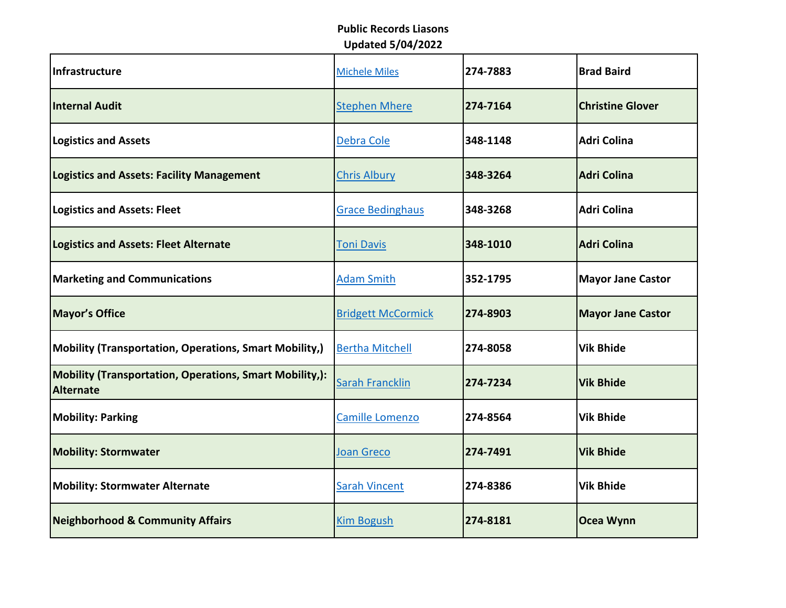| Infrastructure                                                              | <b>Michele Miles</b>      | 274-7883 | <b>Brad Baird</b>        |
|-----------------------------------------------------------------------------|---------------------------|----------|--------------------------|
| Internal Audit                                                              | <b>Stephen Mhere</b>      | 274-7164 | <b>Christine Glover</b>  |
| <b>Logistics and Assets</b>                                                 | Debra Cole                | 348-1148 | <b>Adri Colina</b>       |
| <b>Logistics and Assets: Facility Management</b>                            | <b>Chris Albury</b>       | 348-3264 | <b>Adri Colina</b>       |
| <b>Logistics and Assets: Fleet</b>                                          | <b>Grace Bedinghaus</b>   | 348-3268 | <b>Adri Colina</b>       |
| <b>Logistics and Assets: Fleet Alternate</b>                                | <b>Toni Davis</b>         | 348-1010 | <b>Adri Colina</b>       |
| <b>Marketing and Communications</b>                                         | <b>Adam Smith</b>         | 352-1795 | <b>Mayor Jane Castor</b> |
| <b>Mayor's Office</b>                                                       | <b>Bridgett McCormick</b> | 274-8903 | <b>Mayor Jane Castor</b> |
| <b>Mobility (Transportation, Operations, Smart Mobility,)</b>               | <b>Bertha Mitchell</b>    | 274-8058 | <b>Vik Bhide</b>         |
| <b>Mobility (Transportation, Operations, Smart Mobility,):</b><br>Alternate | <b>Sarah Francklin</b>    | 274-7234 | <b>Vik Bhide</b>         |
| <b>Mobility: Parking</b>                                                    | Camille Lomenzo           | 274-8564 | <b>Vik Bhide</b>         |
| <b>Mobility: Stormwater</b>                                                 | Joan Greco                | 274-7491 | <b>Vik Bhide</b>         |
| <b>Mobility: Stormwater Alternate</b>                                       | <b>Sarah Vincent</b>      | 274-8386 | <b>Vik Bhide</b>         |
| <b>Neighborhood &amp; Community Affairs</b>                                 | <b>Kim Bogush</b>         | 274-8181 | Ocea Wynn                |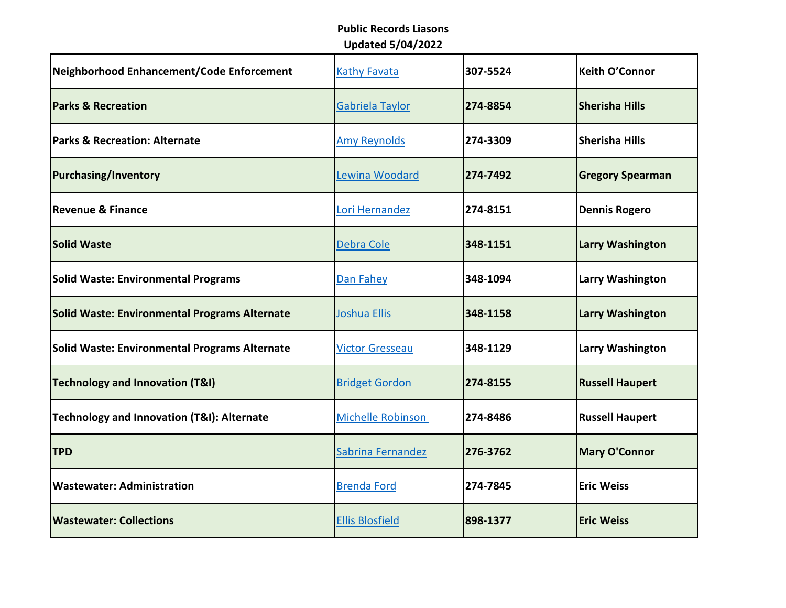| Neighborhood Enhancement/Code Enforcement            | <b>Kathy Favata</b>      | 307-5524 | <b>Keith O'Connor</b>   |
|------------------------------------------------------|--------------------------|----------|-------------------------|
| <b>Parks &amp; Recreation</b>                        | Gabriela Taylor          | 274-8854 | <b>Sherisha Hills</b>   |
| <b>Parks &amp; Recreation: Alternate</b>             | <b>Amy Reynolds</b>      | 274-3309 | <b>Sherisha Hills</b>   |
| <b>Purchasing/Inventory</b>                          | Lewina Woodard           | 274-7492 | <b>Gregory Spearman</b> |
| <b>Revenue &amp; Finance</b>                         | Lori Hernandez           | 274-8151 | <b>Dennis Rogero</b>    |
| <b>Solid Waste</b>                                   | Debra Cole               | 348-1151 | <b>Larry Washington</b> |
| <b>Solid Waste: Environmental Programs</b>           | Dan Fahey                | 348-1094 | Larry Washington        |
| <b>Solid Waste: Environmental Programs Alternate</b> | Joshua Ellis             | 348-1158 | <b>Larry Washington</b> |
| Solid Waste: Environmental Programs Alternate        | <b>Victor Gresseau</b>   | 348-1129 | Larry Washington        |
| Technology and Innovation (T&I)                      | <b>Bridget Gordon</b>    | 274-8155 | <b>Russell Haupert</b>  |
| Technology and Innovation (T&I): Alternate           | <b>Michelle Robinson</b> | 274-8486 | <b>Russell Haupert</b>  |
| <b>TPD</b>                                           | Sabrina Fernandez        | 276-3762 | <b>Mary O'Connor</b>    |
| <b>Wastewater: Administration</b>                    | <b>Brenda Ford</b>       | 274-7845 | <b>Eric Weiss</b>       |
| <b>Wastewater: Collections</b>                       | <b>Ellis Blosfield</b>   | 898-1377 | <b>Eric Weiss</b>       |